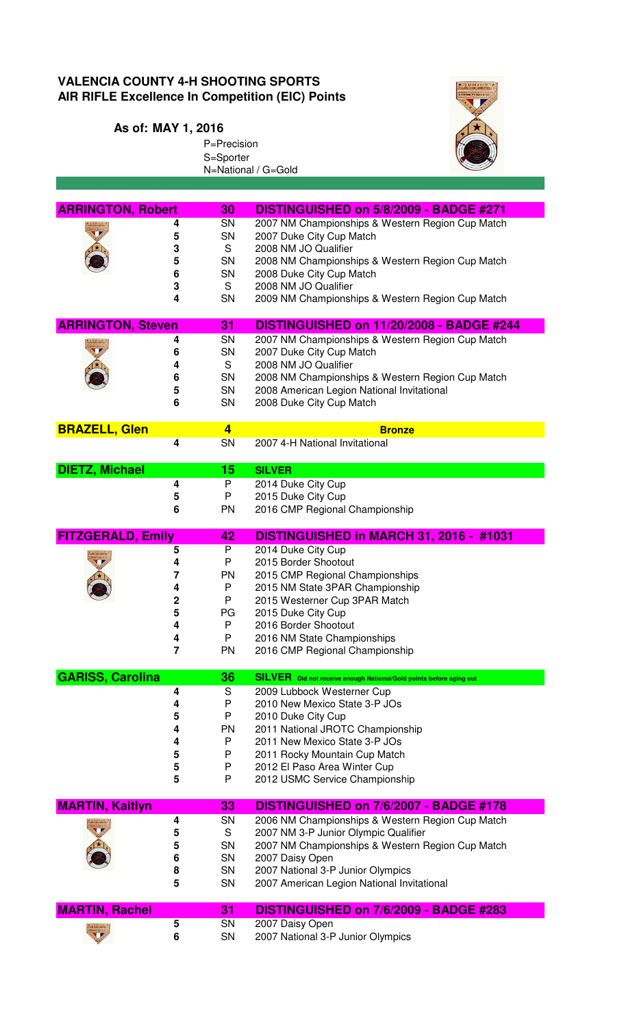## **VALENCIA COUNTY 4-H SHOOTING SPORTS AIR RIFLE Excellence In Competition (EIC) Points**

P=Precision S=Sporter

## **As of: MAY 1, 2016**



|                          |                         | N=National / G=Gold                                                 |
|--------------------------|-------------------------|---------------------------------------------------------------------|
|                          |                         |                                                                     |
|                          |                         |                                                                     |
| <b>ARRINGTON, Robert</b> | 30                      | DISTINGUISHED on 5/8/2009 - BADGE #271                              |
|                          | SN<br>4                 | 2007 NM Championships & Western Region Cup Match                    |
|                          | SN<br>5                 | 2007 Duke City Cup Match                                            |
|                          | S<br>3                  | 2008 NM JO Qualifier                                                |
|                          | SN                      |                                                                     |
|                          | 5                       | 2008 NM Championships & Western Region Cup Match                    |
|                          | SN<br>6                 | 2008 Duke City Cup Match                                            |
|                          | S<br>3                  | 2008 NM JO Qualifier                                                |
|                          | SN<br>4                 | 2009 NM Championships & Western Region Cup Match                    |
|                          |                         |                                                                     |
| <b>ARRINGTON, Steven</b> | 31                      | DISTINGUISHED on 11/20/2008 - BADGE #244                            |
|                          | SN<br>4                 | 2007 NM Championships & Western Region Cup Match                    |
|                          | SN<br>6                 | 2007 Duke City Cup Match                                            |
|                          | S<br>4                  | 2008 NM JO Qualifier                                                |
|                          | <b>SN</b><br>6          | 2008 NM Championships & Western Region Cup Match                    |
|                          | SN<br>5                 | 2008 American Legion National Invitational                          |
|                          | SN<br>6                 | 2008 Duke City Cup Match                                            |
|                          |                         |                                                                     |
| <b>BRAZELL, Glen</b>     | $\overline{\mathbf{4}}$ | <b>Bronze</b>                                                       |
|                          | SN<br>4                 | 2007 4-H National Invitational                                      |
|                          |                         |                                                                     |
| <b>DIETZ, Michael</b>    | 15                      | <b>SILVER</b>                                                       |
|                          | 4<br>P                  | 2014 Duke City Cup                                                  |
|                          | P<br>5                  | 2015 Duke City Cup                                                  |
|                          | PN<br>6                 | 2016 CMP Regional Championship                                      |
|                          |                         |                                                                     |
| <b>FITZGERALD, Emily</b> | 42                      | DISTINGUISHED in MARCH 31, 2016 - #1031                             |
|                          | P<br>5                  | 2014 Duke City Cup                                                  |
|                          | P<br>4                  | 2015 Border Shootout                                                |
|                          | <b>PN</b><br>7          | 2015 CMP Regional Championships                                     |
|                          | P<br>4                  | 2015 NM State 3PAR Championship                                     |
|                          | 2<br>P                  | 2015 Westerner Cup 3PAR Match                                       |
|                          | 5<br>PG                 | 2015 Duke City Cup                                                  |
|                          | P<br>4                  | 2016 Border Shootout                                                |
|                          | P<br>4                  | 2016 NM State Championships                                         |
|                          | 7<br>PN                 | 2016 CMP Regional Championship                                      |
|                          |                         |                                                                     |
| <b>GARISS, Carolina</b>  | 36                      | SILVER Did not receive enough National/Gold points before aging out |
|                          | 4<br>S                  | 2009 Lubbock Westerner Cup                                          |
|                          | P<br>4                  | 2010 New Mexico State 3-P JOs                                       |
|                          | P<br>5                  | 2010 Duke City Cup                                                  |
|                          | 4<br><b>PN</b>          | 2011 National JROTC Championship                                    |
|                          | P<br>4                  | 2011 New Mexico State 3-P JOs                                       |
|                          |                         |                                                                     |
|                          | P<br>5                  | 2011 Rocky Mountain Cup Match                                       |
|                          | 5<br>P                  | 2012 El Paso Area Winter Cup                                        |
|                          | 5<br>P                  | 2012 USMC Service Championship                                      |
|                          |                         |                                                                     |
| <b>MARTIN, Kaitlyn</b>   | 33                      | DISTINGUISHED on 7/6/2007 - BADGE #178                              |
|                          | SN<br>4                 | 2006 NM Championships & Western Region Cup Match                    |
|                          | S<br>5                  | 2007 NM 3-P Junior Olympic Qualifier                                |
|                          | SN<br>5                 | 2007 NM Championships & Western Region Cup Match                    |
|                          | 6<br><b>SN</b>          | 2007 Daisy Open                                                     |
|                          | SN<br>8                 | 2007 National 3-P Junior Olympics                                   |
|                          | 5<br>SN                 | 2007 American Legion National Invitational                          |
|                          |                         |                                                                     |
| <b>MARTIN, Rachel</b>    | 31                      | DISTINGUISHED on 7/6/2009 - BADGE #283                              |
|                          | 5<br>SN                 | 2007 Daisy Open                                                     |
|                          | 6<br>SN                 | 2007 National 3-P Junior Olympics                                   |